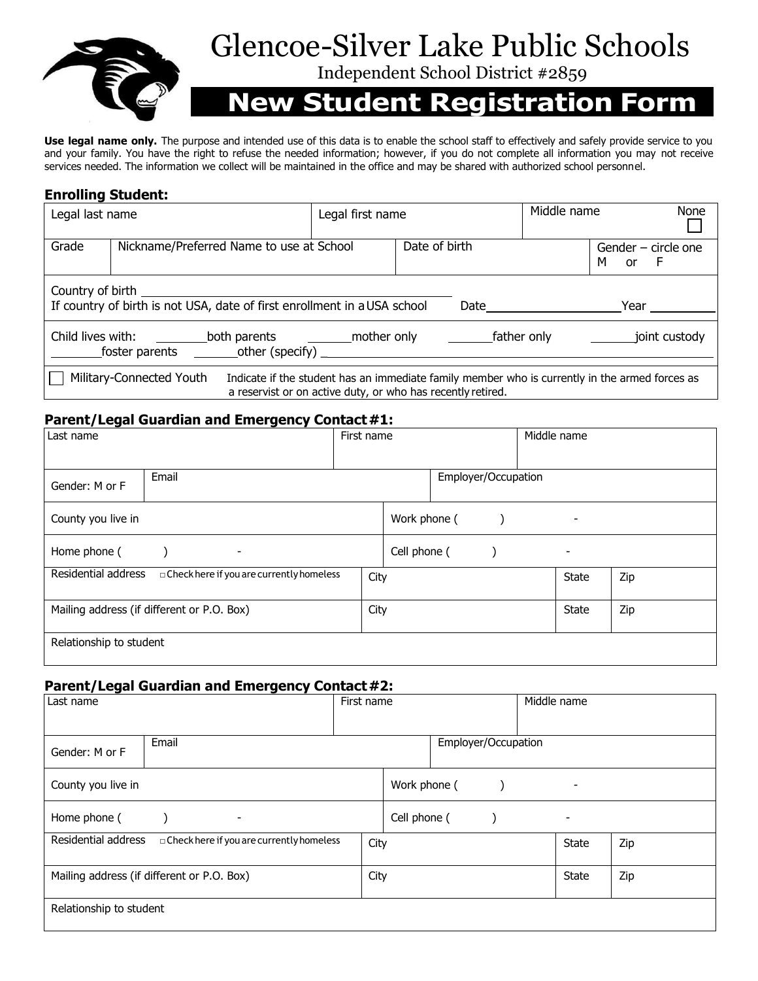

# Glencoe-Silver Lake Public Schools

Independent School District #2859

# **New Student Registration Form**

**Use legal name only.** The purpose and intended use of this data is to enable the school staff to effectively and safely provide service to you and your family. You have the right to refuse the needed information; however, if you do not complete all information you may not receive services needed. The information we collect will be maintained in the office and may be shared with authorized school personnel.

## **Enrolling Student:**

| Legal last name                                                                                                                                                                           |                                          | Legal first name |  | Middle name | None                               |
|-------------------------------------------------------------------------------------------------------------------------------------------------------------------------------------------|------------------------------------------|------------------|--|-------------|------------------------------------|
| Grade                                                                                                                                                                                     | Nickname/Preferred Name to use at School | Date of birth    |  |             | Gender - circle one<br>м<br>or $F$ |
| If country of birth is not USA, date of first enrollment in a USA school<br>Date<br>Year                                                                                                  |                                          |                  |  |             |                                    |
| joint custody                                                                                                                                                                             |                                          |                  |  |             |                                    |
| Military-Connected Youth<br>Indicate if the student has an immediate family member who is currently in the armed forces as<br>a reservist or on active duty, or who has recently retired. |                                          |                  |  |             |                                    |

## Parent/Legal Guardian and Emergency Contact #1:

| Last name                                                         |  | First name   |                     | Middle name |                          |              |     |
|-------------------------------------------------------------------|--|--------------|---------------------|-------------|--------------------------|--------------|-----|
| Email                                                             |  |              | Employer/Occupation |             |                          |              |     |
| Gender: M or F                                                    |  |              |                     |             |                          |              |     |
| County you live in                                                |  | Work phone ( |                     |             |                          | ٠            |     |
| Home phone (<br>٠                                                 |  | Cell phone ( |                     |             | $\overline{\phantom{a}}$ |              |     |
| Residential address<br>□ Check here if you are currently homeless |  | City         |                     |             |                          | <b>State</b> | Zip |
| Mailing address (if different or P.O. Box)                        |  | City         |                     |             |                          | <b>State</b> | Zip |
| Relationship to student                                           |  |              |                     |             |                          |              |     |

#### **Parent/Legal Guardian and Emergency Contact #2:**

| Last name                                                         | First name |              |                     | Middle name |                          |     |  |
|-------------------------------------------------------------------|------------|--------------|---------------------|-------------|--------------------------|-----|--|
|                                                                   |            |              |                     |             |                          |     |  |
| Email<br>Gender: M or F                                           |            |              | Employer/Occupation |             |                          |     |  |
| County you live in                                                |            | Work phone ( |                     |             | ٠                        |     |  |
| Home phone (<br>٠                                                 |            | Cell phone ( |                     |             | $\overline{\phantom{a}}$ |     |  |
| Residential address<br>□ Check here if you are currently homeless |            | City         |                     |             | <b>State</b>             | Zip |  |
| Mailing address (if different or P.O. Box)                        |            | City         |                     |             | State                    | Zip |  |
| Relationship to student                                           |            |              |                     |             |                          |     |  |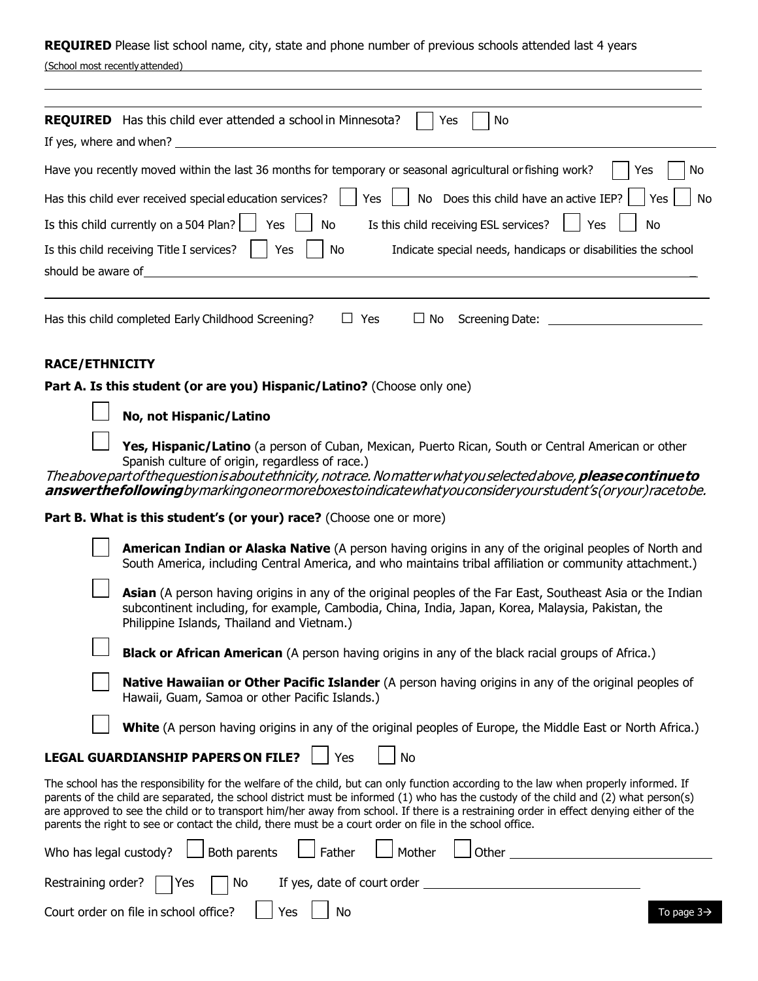**REQUIRED** Please list school name, city, state and phone number of previous schools attended last 4 years

|  | (School most recently attended) |  |
|--|---------------------------------|--|
|  |                                 |  |

| <b>REQUIRED</b> Has this child ever attended a school in Minnesota?<br>No<br>Yes<br>If yes, where and when?                                                                                                                                                                                                                                                                            |  |  |  |
|----------------------------------------------------------------------------------------------------------------------------------------------------------------------------------------------------------------------------------------------------------------------------------------------------------------------------------------------------------------------------------------|--|--|--|
|                                                                                                                                                                                                                                                                                                                                                                                        |  |  |  |
| Have you recently moved within the last 36 months for temporary or seasonal agricultural or fishing work?<br>No<br>Yes                                                                                                                                                                                                                                                                 |  |  |  |
| No Does this child have an active IEP?<br>Has this child ever received special education services?<br>Yes<br>No<br>Yes                                                                                                                                                                                                                                                                 |  |  |  |
| Is this child currently on a 504 Plan?<br>Is this child receiving ESL services?<br>Yes<br>No<br>Yes<br>No                                                                                                                                                                                                                                                                              |  |  |  |
| Is this child receiving Title I services?<br>Yes<br>No<br>Indicate special needs, handicaps or disabilities the school                                                                                                                                                                                                                                                                 |  |  |  |
| should be aware of the same state of the same should be aware of the same should be aware of                                                                                                                                                                                                                                                                                           |  |  |  |
| <b>RACE/ETHNICITY</b><br>Part A. Is this student (or are you) Hispanic/Latino? (Choose only one)                                                                                                                                                                                                                                                                                       |  |  |  |
|                                                                                                                                                                                                                                                                                                                                                                                        |  |  |  |
| No, not Hispanic/Latino                                                                                                                                                                                                                                                                                                                                                                |  |  |  |
| Yes, Hispanic/Latino (a person of Cuban, Mexican, Puerto Rican, South or Central American or other<br>Spanish culture of origin, regardless of race.)<br>The above part of the question is about ethnicity, not race. No matter what you selected above, <b>please continue to</b><br>answerthefollowingbymarkingoneormoreboxestoindicatewhatyouconsideryourstudent's(oryour)racetobe. |  |  |  |
|                                                                                                                                                                                                                                                                                                                                                                                        |  |  |  |
| Part B. What is this student's (or your) race? (Choose one or more)                                                                                                                                                                                                                                                                                                                    |  |  |  |
| <b>American Indian or Alaska Native</b> (A person having origins in any of the original peoples of North and<br>South America, including Central America, and who maintains tribal affiliation or community attachment.)                                                                                                                                                               |  |  |  |

**Asian** (A person having origins in any of the original peoples of the Far East, Southeast Asia or the Indian subcontinent including, for example, Cambodia, China, India, Japan, Korea, Malaysia, Pakistan, the Philippine Islands, Thailand and Vietnam.)

**Black or African American** (A person having origins in any of the black racial groups of Africa.)

**Native Hawaiian or Other Pacific Islander** (A person having origins in any of the original peoples of Hawaii, Guam, Samoa or other Pacific Islands.)

**White** (A person having origins in any of the original peoples of Europe, the Middle East or North Africa.)

## **LEGAL GUARDIANSHIP PAPERS ON FILE?** | Yes | | No

The school has the responsibility for the welfare of the child, but can only function according to the law when properly informed. If parents of the child are separated, the school district must be informed (1) who has the custody of the child and (2) what person(s) are approved to see the child or to transport him/her away from school. If there is a restraining order in effect denying either of the parents the right to see or contact the child, there must be a court order on file in the school office.

| Who has legal custody? $\Box$ Both parents $\Box$ Father $\Box$ Mother $\Box$ Other |                        |
|-------------------------------------------------------------------------------------|------------------------|
| Restraining order? $\bigcap$ Yes $\bigcap$ No If yes, date of court order           |                        |
| Court order on file in school office? $\Box$ Yes $\Box$ No                          | To page $3\rightarrow$ |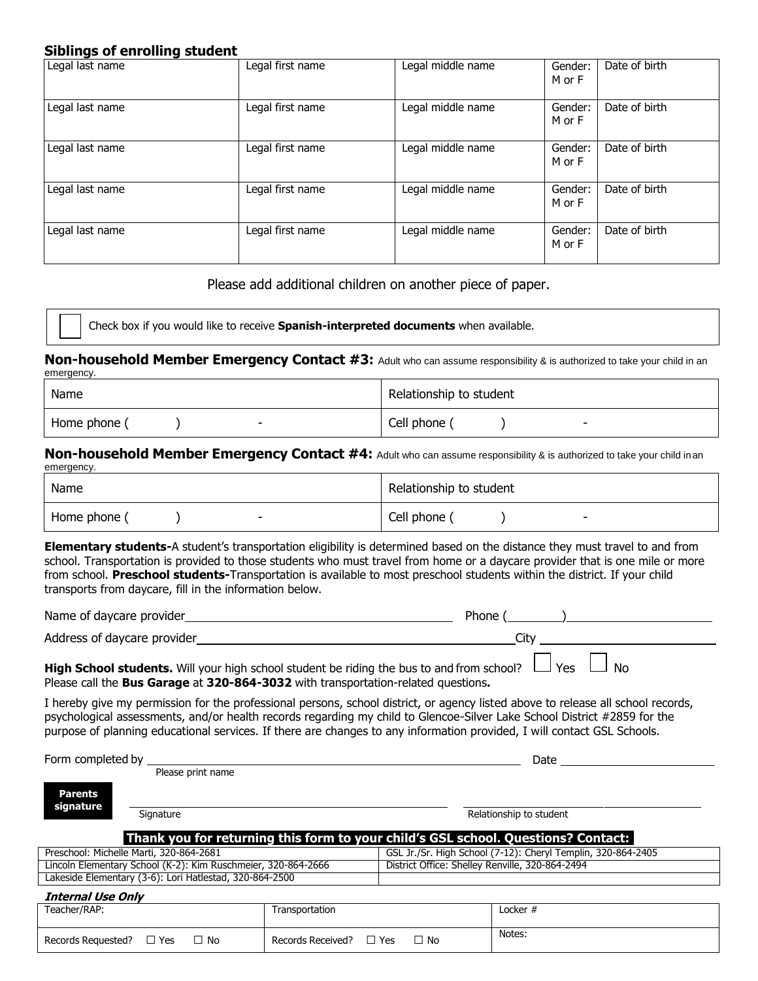#### **Siblings of enrolling student**

| Legal last name | Legal first name | Legal middle name | Gender:<br>M or F | Date of birth |
|-----------------|------------------|-------------------|-------------------|---------------|
| Legal last name | Legal first name | Legal middle name | Gender:<br>M or F | Date of birth |
| Legal last name | Legal first name | Legal middle name | Gender:<br>M or F | Date of birth |
| Legal last name | Legal first name | Legal middle name | Gender:<br>M or F | Date of birth |
| Legal last name | Legal first name | Legal middle name | Gender:<br>M or F | Date of birth |

Please add additional children on another piece of paper.

Check box if you would like to receive **Spanish-interpreted documents** when available.

**Non-household Member Emergency Contact #3:** Adult who can assume responsibility & is authorized to take your child in an emergency.

| Name              | Relationship to student |
|-------------------|-------------------------|
| Home phone (<br>- | Cell phone              |

**Non-household Member Emergency Contact #4:** Adult who can assume responsibility & is authorized to take your child inan emergency

| Name         | Relationship to student |
|--------------|-------------------------|
| Home phone ( | Cell phone (            |
| -            | -                       |

**Elementary students-**A student's transportation eligibility is determined based on the distance they must travel to and from school. Transportation is provided to those students who must travel from home or a daycare provider that is one mile or more from school. **Preschool students-**Transportation is available to most preschool students within the district. If your child transports from daycare, fill in the information below.

| Name of daycare provider    | Phone                  |
|-----------------------------|------------------------|
| Address of daycare provider |                        |
| .<br>.                      | $\mathbf{A}$<br>$\sim$ |

**High School students.** Will your high school student be riding the bus to and from school?  $\Box$  Yes  $\Box$  No Please call the **Bus Garage** at **320-864-3032** with transportation-related questions**.**

Records Requested? □ Yes □ No Records Received? □ Yes □ No Notes:

I hereby give my permission for the professional persons, school district, or agency listed above to release all school records, psychological assessments, and/or health records regarding my child to Glencoe-Silver Lake School District #2859 for the purpose of planning educational services. If there are changes to any information provided, I will contact GSL Schools.

Form completed by Please print name Date Signature **Relationship to student** Relationship to student **Thank you for returning this form to your child's GSL school. Questions? Contact:**  Preschool: Michelle Marti, 320-864-2681 GSL Jr./Sr. High School (7-12): Cheryl Templin, 320-864-2405<br>Cincoln Elementary School (K-2): Kim Ruschmeier, 320-864-2666 [District Office: Shelley Renville, 320-864-2494 Lincoln Elementary School (K-2): Kim Ruschmeier, 320-864-2666 Lakeside Elementary (3-6): Lori Hatlestad, 320-864-2500 **Internal Use Only** Teacher/RAP: Transportation Locker # **Parents signature**